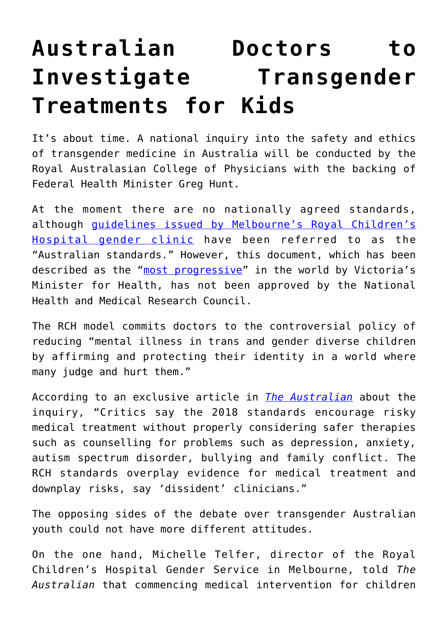## **[Australian Doctors to](https://intellectualtakeout.org/2019/08/australian-doctors-to-investigate-transgender-treatments-for-kids/) [Investigate Transgender](https://intellectualtakeout.org/2019/08/australian-doctors-to-investigate-transgender-treatments-for-kids/) [Treatments for Kids](https://intellectualtakeout.org/2019/08/australian-doctors-to-investigate-transgender-treatments-for-kids/)**

It's about time. A national inquiry into the safety and ethics of transgender medicine in Australia will be conducted by the Royal Australasian College of Physicians with the backing of Federal Health Minister Greg Hunt.

At the moment there are no nationally agreed standards, although [guidelines issued by Melbourne's Royal Children's](https://www.rch.org.au/uploadedFiles/Main/Content/adolescent-medicine/australian-standards-of-care-and-treatment-guidelines-for-trans-and-gender-diverse-children-and-adolescents.pdf) [Hospital gender clinic](https://www.rch.org.au/uploadedFiles/Main/Content/adolescent-medicine/australian-standards-of-care-and-treatment-guidelines-for-trans-and-gender-diverse-children-and-adolescents.pdf) have been referred to as the "Australian standards." However, this document, which has been described as the "[most progressive](https://www2.health.vic.gov.au/~/media/Health/Files/Collections/Factsheets/2/2018-victorian-public-healthcare-awards-showcase_accessible)" in the world by Victoria's Minister for Health, has not been approved by the National Health and Medical Research Council.

The RCH model commits doctors to the controversial policy of reducing "mental illness in trans and gender diverse children by affirming and protecting their identity in a world where many judge and hurt them."

According to an exclusive article in *[The Australian](https://www.theaustralian.com.au/nation/inquiry-to-assess-sex-change-concerns/news-story/9de740b4129d8b6b517e7e050450bd62)* about the inquiry, "Critics say the 2018 standards encourage risky medical treatment without properly considering safer therapies such as counselling for problems such as depression, anxiety, autism spectrum disorder, bullying and family conflict. The RCH standards overplay evidence for medical treatment and downplay risks, say 'dissident' clinicians."

The opposing sides of the debate over transgender Australian youth could not have more different attitudes.

On the one hand, Michelle Telfer, director of the Royal Children's Hospital Gender Service in Melbourne, told *The Australian* that commencing medical intervention for children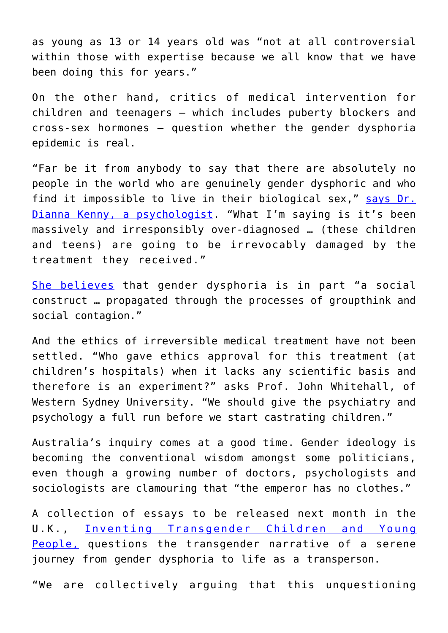as young as 13 or 14 years old was "not at all controversial within those with expertise because we all know that we have been doing this for years."

On the other hand, critics of medical intervention for children and teenagers – which includes puberty blockers and cross-sex hormones – question whether the gender dysphoria epidemic is real.

"Far be it from anybody to say that there are absolutely no people in the world who are genuinely gender dysphoric and who find it impossible to live in their biological sex," [says Dr.](https://www.theaustralian.com.au/nation/warnings-over-surge-in-youth-transgender-cases/news-story/8b4efbf389a0bd61e664f93a5eaf7315) [Dianna Kenny, a psychologist.](https://www.theaustralian.com.au/nation/warnings-over-surge-in-youth-transgender-cases/news-story/8b4efbf389a0bd61e664f93a5eaf7315) "What I'm saying is it's been massively and irresponsibly over-diagnosed … (these children and teens) are going to be irrevocably damaged by the treatment they received."

[She believes](https://www.theaustralian.com.au/nation/warnings-over-surge-in-youth-transgender-cases/news-story/8b4efbf389a0bd61e664f93a5eaf7315) that gender dysphoria is in part "a social construct … propagated through the processes of groupthink and social contagion."

And the ethics of irreversible medical treatment have not been settled. "Who gave ethics approval for this treatment (at children's hospitals) when it lacks any scientific basis and therefore is an experiment?" asks Prof. John Whitehall, of Western Sydney University. "We should give the psychiatry and psychology a full run before we start castrating children."

Australia's inquiry comes at a good time. Gender ideology is becoming the conventional wisdom amongst some politicians, even though a growing number of doctors, psychologists and sociologists are clamouring that "the emperor has no clothes."

A collection of essays to be released next month in the U.K., [Inventing Transgender Children and Young](https://www.amazon.co.uk/Inventing-Transgender-Children-Young-People/dp/1527536386/) [People,](https://www.amazon.co.uk/Inventing-Transgender-Children-Young-People/dp/1527536386/) questions the transgender narrative of a serene journey from gender dysphoria to life as a transperson.

"We are collectively arguing that this unquestioning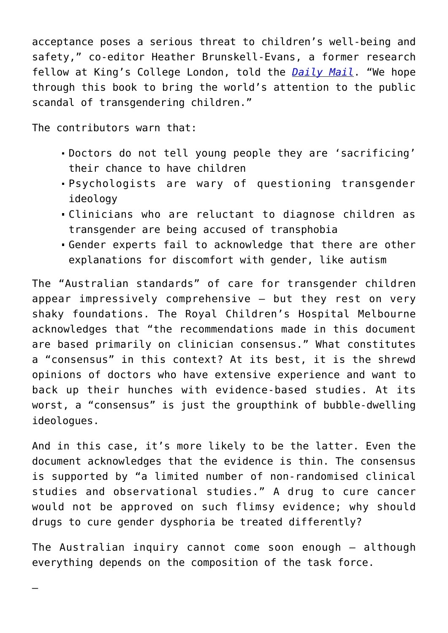acceptance poses a serious threat to children's well-being and safety," co-editor Heather Brunskell-Evans, a former research fellow at King's College London, told the *[Daily Mail](https://www.dailymail.co.uk/news/article-7244783/Academics-medical-experts-fears-children-number-seeking-sex-change-operations-sky-rockets.html)*. "We hope through this book to bring the world's attention to the public scandal of transgendering children."

The contributors warn that:

—

- Doctors do not tell young people they are 'sacrificing' their chance to have children
- Psychologists are wary of questioning transgender ideology
- Clinicians who are reluctant to diagnose children as transgender are being accused of transphobia
- Gender experts fail to acknowledge that there are other explanations for discomfort with gender, like autism

The "Australian standards" of care for transgender children appear impressively comprehensive – but they rest on very shaky foundations. The Royal Children's Hospital Melbourne acknowledges that "the recommendations made in this document are based primarily on clinician consensus." What constitutes a "consensus" in this context? At its best, it is the shrewd opinions of doctors who have extensive experience and want to back up their hunches with evidence-based studies. At its worst, a "consensus" is just the groupthink of bubble-dwelling ideologues.

And in this case, it's more likely to be the latter. Even the document acknowledges that the evidence is thin. The consensus is supported by "a limited number of non-randomised clinical studies and observational studies." A drug to cure cancer would not be approved on such flimsy evidence; why should drugs to cure gender dysphoria be treated differently?

The Australian inquiry cannot come soon enough – although everything depends on the composition of the task force.